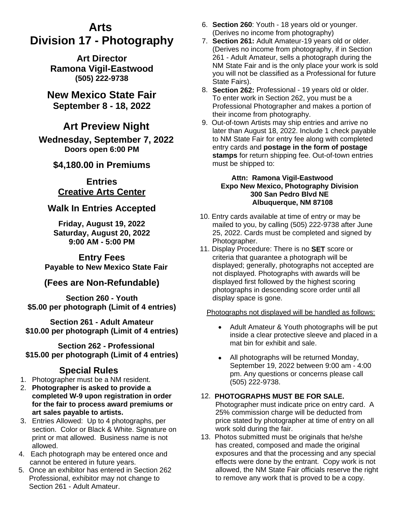# **Arts Division 17 - Photography**

**Art Director Ramona Vigil-Eastwood (505) 222-9738**

**New Mexico State Fair September 8 - 18, 2022**

## **Art Preview Night**

**Wednesday, September 7, 2022 Doors open 6:00 PM**

### **\$4,180.00 in Premiums**

### **Entries Creative Arts Center**

### **Walk In Entries Accepted**

**Friday, August 19, 2022 Saturday, August 20, 2022 9:00 AM - 5:00 PM**

**Entry Fees Payable to New Mexico State Fair**

### **(Fees are Non-Refundable)**

**Section 260 - Youth \$5.00 per photograph (Limit of 4 entries)**

**Section 261 - Adult Amateur \$10.00 per photograph (Limit of 4 entries)**

**Section 262 - Professional \$15.00 per photograph (Limit of 4 entries)**

### **Special Rules**

- 1. Photographer must be a NM resident.
- 2. **Photographer is asked to provide a completed W-9 upon registration in order for the fair to process award premiums or art sales payable to artists.**
- 3. Entries Allowed: Up to 4 photographs, per section. Color or Black & White. Signature on print or mat allowed. Business name is not allowed.
- 4. Each photograph may be entered once and cannot be entered in future years.
- 5. Once an exhibitor has entered in Section 262 Professional, exhibitor may not change to Section 261 - Adult Amateur.
- 6. **Section 260**: Youth 18 years old or younger. (Derives no income from photography)
- 7. **Section 261:** Adult Amateur-19 years old or older. (Derives no income from photography, if in Section 261 - Adult Amateur, sells a photograph during the NM State Fair and is the only place your work is sold you will not be classified as a Professional for future State Fairs).
- 8. **Section 262:** Professional 19 years old or older. To enter work in Section 262, you must be a Professional Photographer and makes a portion of their income from photography.
- 9. Out-of-town Artists may ship entries and arrive no later than August 18, 2022. Include 1 check payable to NM State Fair for entry fee along with completed entry cards and **postage in the form of postage stamps** for return shipping fee. Out-of-town entries must be shipped to:

#### **Attn: Ramona Vigil-Eastwood Expo New Mexico, Photography Division 300 San Pedro Blvd NE Albuquerque, NM 87108**

- 10. Entry cards available at time of entry or may be mailed to you, by calling (505) 222-9738 after June 25, 2022. Cards must be completed and signed by Photographer.
- 11. Display Procedure: There is no **SET** score or criteria that guarantee a photograph will be displayed; generally, photographs not accepted are not displayed. Photographs with awards will be displayed first followed by the highest scoring photographs in descending score order until all display space is gone.

#### Photographs not displayed will be handled as follows:

- Adult Amateur & Youth photographs will be put inside a clear protective sleeve and placed in a mat bin for exhibit and sale.
- All photographs will be returned Monday, September 19, 2022 between 9:00 am - 4:00 pm. Any questions or concerns please call (505) 222-9738.

#### 12. **PHOTOGRAPHS MUST BE FOR SALE.** Photographer must indicate price on entry card. A 25% commission charge will be deducted from price stated by photographer at time of entry on all work sold during the fair.

13. Photos submitted must be originals that he/she has created, composed and made the original exposures and that the processing and any special effects were done by the entrant. Copy work is not allowed, the NM State Fair officials reserve the right to remove any work that is proved to be a copy.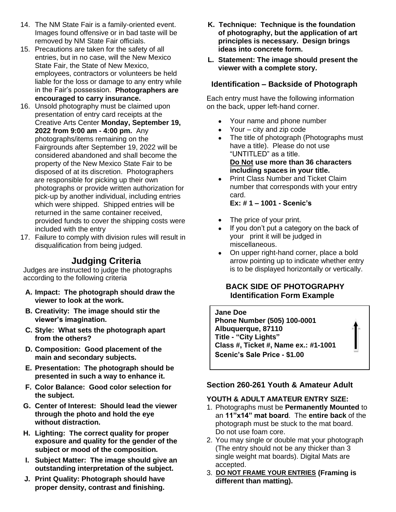- 14. The NM State Fair is a family-oriented event. Images found offensive or in bad taste will be removed by NM State Fair officials.
- 15. Precautions are taken for the safety of all entries, but in no case, will the New Mexico State Fair, the State of New Mexico, employees, contractors or volunteers be held liable for the loss or damage to any entry while in the Fair's possession. **Photographers are encouraged to carry insurance.**
- 16. Unsold photography must be claimed upon presentation of entry card receipts at the Creative Arts Center **Monday, September 19, 2022 from 9:00 am - 4:00 pm.** Any photographs/items remaining on the Fairgrounds after September 19, 2022 will be considered abandoned and shall become the property of the New Mexico State Fair to be disposed of at its discretion. Photographers are responsible for picking up their own photographs or provide written authorization for pick-up by another individual, including entries which were shipped. Shipped entries will be returned in the same container received, provided funds to cover the shipping costs were included with the entry
- 17. Failure to comply with division rules will result in disqualification from being judged.

### **Judging Criteria**

Judges are instructed to judge the photographs according to the following criteria

- **A. Impact: The photograph should draw the viewer to look at the work.**
- **B. Creativity: The image should stir the viewer's imagination.**
- **C. Style: What sets the photograph apart from the others?**
- **D. Composition: Good placement of the main and secondary subjects.**
- **E. Presentation: The photograph should be presented in such a way to enhance it.**
- **F. Color Balance: Good color selection for the subject.**
- **G. Center of Interest: Should lead the viewer through the photo and hold the eye without distraction.**
- **H. Lighting: The correct quality for proper exposure and quality for the gender of the subject or mood of the composition.**
- **I. Subject Matter: The image should give an outstanding interpretation of the subject.**
- **J. Print Quality: Photograph should have proper density, contrast and finishing.**
- **K. Technique: Technique is the foundation of photography, but the application of art principles is necessary. Design brings ideas into concrete form.**
- **L. Statement: The image should present the viewer with a complete story.**

#### **Identification – Backside of Photograph**

Each entry must have the following information on the back, upper left-hand corner.

- Your name and phone number
- Your city and zip code
- The title of photograph (Photographs must have a title). Please do not use "UNTITLED" as a title. **Do Not use more than 36 characters including spaces in your title.**
- Print Class Number and Ticket Claim number that corresponds with your entry card.

**Ex: # 1 – 1001 - Scenic's** 

- The price of your print.
- If you don't put a category on the back of your print it will be judged in miscellaneous.
- On upper right-hand corner, place a bold arrow pointing up to indicate whether entry is to be displayed horizontally or vertically.

#### **BACK SIDE OF PHOTOGRAPHY Identification Form Example**



#### **Section 260-261 Youth & Amateur Adult**

#### **YOUTH & ADULT AMATEUR ENTRY SIZE:**

- 1. Photographs must be **Permanently Mounted** to an **11"x14" mat board**. The **entire back** of the photograph must be stuck to the mat board. Do not use foam core.
- 2. You may single or double mat your photograph (The entry should not be any thicker than 3 single weight mat boards). Digital Mats are accepted.
- 3. **DO NOT FRAME YOUR ENTRIES (Framing is different than matting).**